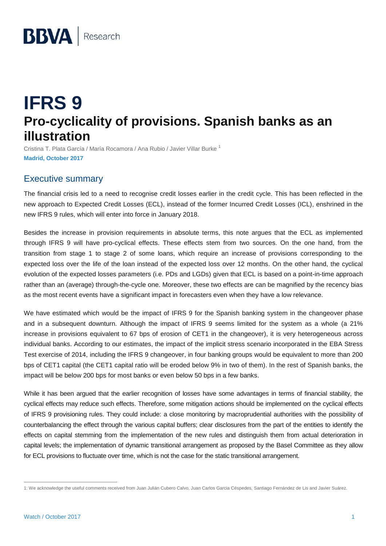# **IFRS 9 Pro-cyclicality of provisions. Spanish banks as an illustration**

Cristina T. Plata García / María Rocamora / Ana Rubio / Javier Villar Burke <sup>1</sup> **Madrid, October 2017**

# Executive summary

The financial crisis led to a need to recognise credit losses earlier in the credit cycle. This has been reflected in the new approach to Expected Credit Losses (ECL), instead of the former Incurred Credit Losses (ICL), enshrined in the new IFRS 9 rules, which will enter into force in January 2018.

Besides the increase in provision requirements in absolute terms, this note argues that the ECL as implemented through IFRS 9 will have pro-cyclical effects. These effects stem from two sources. On the one hand, from the transition from stage 1 to stage 2 of some loans, which require an increase of provisions corresponding to the expected loss over the life of the loan instead of the expected loss over 12 months. On the other hand, the cyclical evolution of the expected losses parameters (i.e. PDs and LGDs) given that ECL is based on a point-in-time approach rather than an (average) through-the-cycle one. Moreover, these two effects are can be magnified by the recency bias as the most recent events have a significant impact in forecasters even when they have a low relevance.

We have estimated which would be the impact of IFRS 9 for the Spanish banking system in the changeover phase and in a subsequent downturn. Although the impact of IFRS 9 seems limited for the system as a whole (a 21% increase in provisions equivalent to 67 bps of erosion of CET1 in the changeover), it is very heterogeneous across individual banks. According to our estimates, the impact of the implicit stress scenario incorporated in the EBA Stress Test exercise of 2014, including the IFRS 9 changeover, in four banking groups would be equivalent to more than 200 bps of CET1 capital (the CET1 capital ratio will be eroded below 9% in two of them). In the rest of Spanish banks, the impact will be below 200 bps for most banks or even below 50 bps in a few banks.

While it has been argued that the earlier recognition of losses have some advantages in terms of financial stability, the cyclical effects may reduce such effects. Therefore, some mitigation actions should be implemented on the cyclical effects of IFRS 9 provisioning rules. They could include: a close monitoring by macroprudential authorities with the possibility of counterbalancing the effect through the various capital buffers; clear disclosures from the part of the entities to identify the effects on capital stemming from the implementation of the new rules and distinguish them from actual deterioration in capital levels; the implementation of dynamic transitional arrangement as proposed by the Basel Committee as they allow for ECL provisions to fluctuate over time, which is not the case for the static transitional arrangement.

 $\overline{a}$ 1: We acknowledge the useful comments received from Juan Julián Cubero Calvo, Juan Carlos Garcia Céspedes, Santiago Fernández de Lis and Javier Suárez.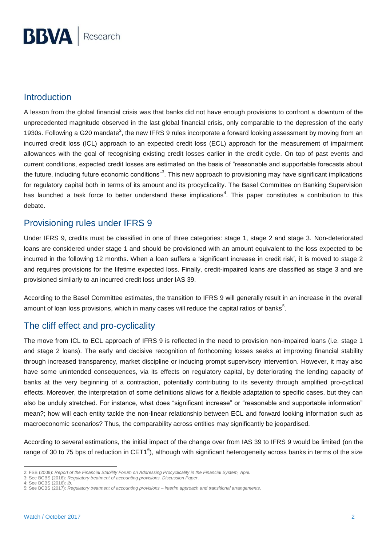## Introduction

A lesson from the global financial crisis was that banks did not have enough provisions to confront a downturn of the unprecedented magnitude observed in the last global financial crisis, only comparable to the depression of the early 1930s. Following a G20 mandate<sup>2</sup>, the new IFRS 9 rules incorporate a forward looking assessment by moving from an incurred credit loss (ICL) approach to an expected credit loss (ECL) approach for the measurement of impairment allowances with the goal of recognising existing credit losses earlier in the credit cycle. On top of past events and current conditions, expected credit losses are estimated on the basis of "reasonable and supportable forecasts about the future, including future economic conditions"<sup>3</sup>. This new approach to provisioning may have significant implications for regulatory capital both in terms of its amount and its procyclicality. The Basel Committee on Banking Supervision has launched a task force to better understand these implications<sup>4</sup>. This paper constitutes a contribution to this debate.

# Provisioning rules under IFRS 9

Under IFRS 9, credits must be classified in one of three categories: stage 1, stage 2 and stage 3. Non-deteriorated loans are considered under stage 1 and should be provisioned with an amount equivalent to the loss expected to be incurred in the following 12 months. When a loan suffers a 'significant increase in credit risk', it is moved to stage 2 and requires provisions for the lifetime expected loss. Finally, credit-impaired loans are classified as stage 3 and are provisioned similarly to an incurred credit loss under IAS 39.

According to the Basel Committee estimates, the transition to IFRS 9 will generally result in an increase in the overall amount of loan loss provisions, which in many cases will reduce the capital ratios of banks $^5$ .

# The cliff effect and pro-cyclicality

The move from ICL to ECL approach of IFRS 9 is reflected in the need to provision non-impaired loans (i.e. stage 1 and stage 2 loans). The early and decisive recognition of forthcoming losses seeks at improving financial stability through increased transparency, market discipline or inducing prompt supervisory intervention. However, it may also have some unintended consequences, via its effects on regulatory capital, by deteriorating the lending capacity of banks at the very beginning of a contraction, potentially contributing to its severity through amplified pro-cyclical effects. Moreover, the interpretation of some definitions allows for a flexible adaptation to specific cases, but they can also be unduly stretched. For instance, what does "significant increase" or "reasonable and supportable information" mean?; how will each entity tackle the non-linear relationship between ECL and forward looking information such as macroeconomic scenarios? Thus, the comparability across entities may significantly be jeopardised.

According to several estimations, the initial impact of the change over from IAS 39 to IFRS 9 would be limited (on the range of 30 to 75 bps of reduction in CET1<sup>6</sup>), although with significant heterogeneity across banks in terms of the size

 $\overline{a}$ 2: FSB (2009): *Report of the Financial Stability Forum on Addressing Procyclicality in the Financial System, April.*

<sup>3:</sup> See BCBS (2016): *Regulatory treatment of accounting provisions. Discussion Paper*.

<sup>4:</sup> See BCBS (2016): *ib*.

<sup>5:</sup> See BCBS (2017): *Regulatory treatment of accounting provisions – interim approach and transitional arrangements*.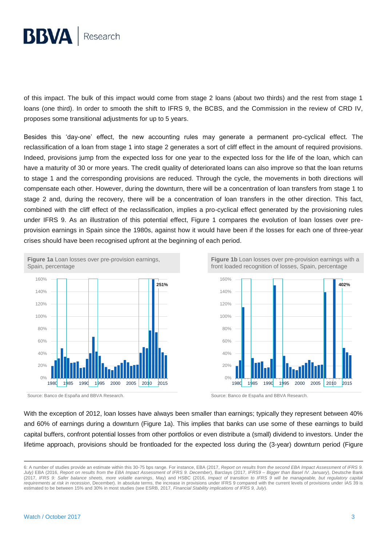

of this impact. The bulk of this impact would come from stage 2 loans (about two thirds) and the rest from stage 1 loans (one third). In order to smooth the shift to IFRS 9, the BCBS, and the Commission in the review of CRD IV, proposes some transitional adjustments for up to 5 years.

Besides this 'day-one' effect, the new accounting rules may generate a permanent pro-cyclical effect. The reclassification of a loan from stage 1 into stage 2 generates a sort of cliff effect in the amount of required provisions. Indeed, provisions jump from the expected loss for one year to the expected loss for the life of the loan, which can have a maturity of 30 or more years. The credit quality of deteriorated loans can also improve so that the loan returns to stage 1 and the corresponding provisions are reduced. Through the cycle, the movements in both directions will compensate each other. However, during the downturn, there will be a concentration of loan transfers from stage 1 to stage 2 and, during the recovery, there will be a concentration of loan transfers in the other direction. This fact, combined with the cliff effect of the reclassification, implies a pro-cyclical effect generated by the provisioning rules under IFRS 9. As an illustration of this potential effect, Figure 1 compares the evolution of loan losses over preprovision earnings in Spain since the 1980s, against how it would have been if the losses for each one of three-year crises should have been recognised upfront at the beginning of each period.



**Figure 1b** Loan losses over pre-provision earnings with a front loaded recognition of losses, Spain, percentage



Source: Banco de España and BBVA Research. Source: Banco de España and BBVA Research.

With the exception of 2012, loan losses have always been smaller than earnings; typically they represent between 40% and 60% of earnings during a downturn (Figure 1a). This implies that banks can use some of these earnings to build capital buffers, confront potential losses from other portfolios or even distribute a (small) dividend to investors. Under the lifetime approach, provisions should be frontloaded for the expected loss during the (3-year) downturn period (Figure

<sup>6:</sup> A number of studies provide an estimate within this 30-75 bps range. For instance, EBA (2017, *Report on results from the second EBA Impact Assessment of IFRS 9. July)* EBA (2016, *Report on results from the EBA Impact Assessment of IFRS 9. December*), Barclays (2017, *IFRS9 – Bigger than Basel IV. January*), Deutsche Bank (2017, *IFRS 9: Safer balance sheets, more volatile earnings*, May) and HSBC (2016, *Impact of transition to IFRS 9 will be manageable, but regulatory capital requirements at risk in recession*, December). In absolute terms, the increase in provisions under IFRS 9 compared with the current levels of provisions under IAS 39 is estimated to be between 15% and 30% in most studies (see ESRB, 2017, *Financial Stability implications of IFRS 9, July*).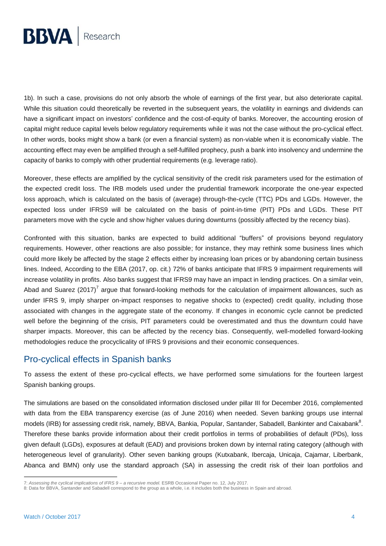

1b). In such a case, provisions do not only absorb the whole of earnings of the first year, but also deteriorate capital. While this situation could theoretically be reverted in the subsequent years, the volatility in earnings and dividends can have a significant impact on investors' confidence and the cost-of-equity of banks. Moreover, the accounting erosion of capital might reduce capital levels below regulatory requirements while it was not the case without the pro-cyclical effect. In other words, books might show a bank (or even a financial system) as non-viable when it is economically viable. The accounting effect may even be amplified through a self-fulfilled prophecy, push a bank into insolvency and undermine the capacity of banks to comply with other prudential requirements (e.g. leverage ratio).

Moreover, these effects are amplified by the cyclical sensitivity of the credit risk parameters used for the estimation of the expected credit loss. The IRB models used under the prudential framework incorporate the one-year expected loss approach, which is calculated on the basis of (average) through-the-cycle (TTC) PDs and LGDs. However, the expected loss under IFRS9 will be calculated on the basis of point-in-time (PIT) PDs and LGDs. These PIT parameters move with the cycle and show higher values during downturns (possibly affected by the recency bias).

Confronted with this situation, banks are expected to build additional "buffers" of provisions beyond regulatory requirements. However, other reactions are also possible; for instance, they may rethink some business lines which could more likely be affected by the stage 2 effects either by increasing loan prices or by abandoning certain business lines. Indeed, According to the EBA (2017, op. cit.) 72% of banks anticipate that IFRS 9 impairment requirements will increase volatility in profits. Also banks suggest that IFRS9 may have an impact in lending practices. On a similar vein, Abad and Suarez (2017)<sup>7</sup> argue that forward-looking methods for the calculation of impairment allowances, such as under IFRS 9, imply sharper on-impact responses to negative shocks to (expected) credit quality, including those associated with changes in the aggregate state of the economy. If changes in economic cycle cannot be predicted well before the beginning of the crisis, PIT parameters could be overestimated and thus the downturn could have sharper impacts. Moreover, this can be affected by the recency bias. Consequently, well-modelled forward-looking methodologies reduce the procyclicality of IFRS 9 provisions and their economic consequences.

## Pro-cyclical effects in Spanish banks

To assess the extent of these pro-cyclical effects, we have performed some simulations for the fourteen largest Spanish banking groups.

The simulations are based on the consolidated information disclosed under pillar III for December 2016, complemented with data from the EBA transparency exercise (as of June 2016) when needed. Seven banking groups use internal models (IRB) for assessing credit risk, namely, BBVA, Bankia, Popular, Santander, Sabadell, Bankinter and Caixabank $^8$ . Therefore these banks provide information about their credit portfolios in terms of probabilities of default (PDs), loss given default (LGDs), exposures at default (EAD) and provisions broken down by internal rating category (although with heterogeneous level of granularity). Other seven banking groups (Kutxabank, Ibercaja, Unicaja, Cajamar, Liberbank, Abanca and BMN) only use the standard approach (SA) in assessing the credit risk of their loan portfolios and

<sup>7:</sup> *Assessing the cyclical implications of IFRS 9 – a recursive model.* ESRB Occasional Paper no. 12, July 2017.

<sup>8:</sup> Data for BBVA, Santander and Sabadell correspond to the group as a whole, i.e. it includes both the business in Spain and abroad.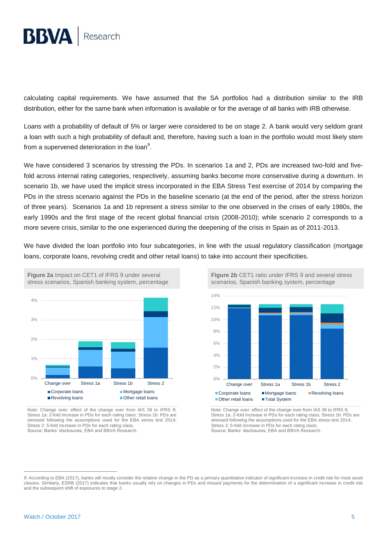

calculating capital requirements. We have assumed that the SA portfolios had a distribution similar to the IRB distribution, either for the same bank when information is available or for the average of all banks with IRB otherwise.

Loans with a probability of default of 5% or larger were considered to be on stage 2. A bank would very seldom grant a loan with such a high probability of default and, therefore, having such a loan in the portfolio would most likely stem from a supervened deterioration in the loan<sup>9</sup>.

We have considered 3 scenarios by stressing the PDs. In scenarios 1a and 2, PDs are increased two-fold and fivefold across internal rating categories, respectively, assuming banks become more conservative during a downturn. In scenario 1b, we have used the implicit stress incorporated in the EBA Stress Test exercise of 2014 by comparing the PDs in the stress scenario against the PDs in the baseline scenario (at the end of the period, after the stress horizon of three years). Scenarios 1a and 1b represent a stress similar to the one observed in the crises of early 1980s, the early 1990s and the first stage of the recent global financial crisis (2008-2010); while scenario 2 corresponds to a more severe crisis, similar to the one experienced during the deepening of the crisis in Spain as of 2011-2013.

We have divided the loan portfolio into four subcategories, in line with the usual regulatory classification (mortgage loans, corporate loans, revolving credit and other retail loans) to take into account their specificities.



Note: Change over: effect of the change over from IAS 39 to IFRS 9; Stress 1a: 2-fold increase in PDs for each rating class; Stress 1b: PDs are stressed following the assumptions used for the EBA stress test 2014; Stress 2: 5-fold increase in PDs for each rating class. Source: Banks' disclosures, EBA and BBVA Research.

**Figure 2b** CET1 ratio under IFRS 9 and several stress scenarios, Spanish banking system, percentage



Note: Change over: effect of the change over from IAS 39 to IFRS 9; Stress 1a: 2-fold increase in PDs for each rating class; Stress 1b: PDs are stressed following the assumptions used for the EBA stress test 2014; Stress 2: 5-fold increase in PDs for each rating class. Source: Banks' disclosures, EBA and BBVA Research.

<sup>9:</sup> According to EBA (2017), banks will mostly consider the relative change in the PD as a primary quantitative indicator of significant increase in credit risk for most asset classes. Similarly, ESRB (2017) indicates that banks usually rely on changes in PDs and missed payments for the determination of a significant increase in credit risk and the subsequent shift of exposures to stage 2.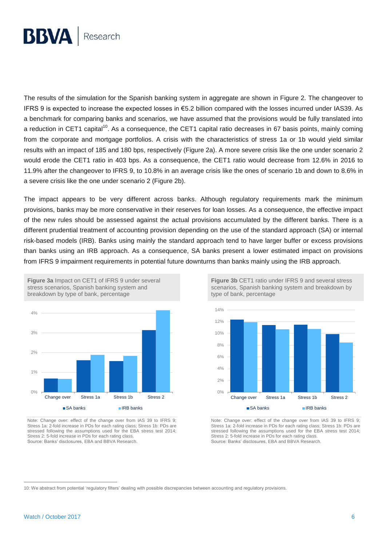

The results of the simulation for the Spanish banking system in aggregate are shown in Figure 2. The changeover to IFRS 9 is expected to increase the expected losses in €5.2 billion compared with the losses incurred under IAS39. As a benchmark for comparing banks and scenarios, we have assumed that the provisions would be fully translated into a reduction in CET1 capital<sup>10</sup>. As a consequence, the CET1 capital ratio decreases in 67 basis points, mainly coming from the corporate and mortgage portfolios. A crisis with the characteristics of stress 1a or 1b would yield similar results with an impact of 185 and 180 bps, respectively (Figure 2a). A more severe crisis like the one under scenario 2 would erode the CET1 ratio in 403 bps. As a consequence, the CET1 ratio would decrease from 12.6% in 2016 to 11.9% after the changeover to IFRS 9, to 10.8% in an average crisis like the ones of scenario 1b and down to 8.6% in a severe crisis like the one under scenario 2 (Figure 2b).

The impact appears to be very different across banks. Although regulatory requirements mark the minimum provisions, banks may be more conservative in their reserves for loan losses. As a consequence, the effective impact of the new rules should be assessed against the actual provisions accumulated by the different banks. There is a different prudential treatment of accounting provision depending on the use of the standard approach (SA) or internal risk-based models (IRB). Banks using mainly the standard approach tend to have larger buffer or excess provisions than banks using an IRB approach. As a consequence, SA banks present a lower estimated impact on provisions from IFRS 9 impairment requirements in potential future downturns than banks mainly using the IRB approach.



breakdown by type of bank, percentage

**Figure 3a** Impact on CET1 of IFRS 9 under several stress scenarios, Spanish banking system and

Note: Change over: effect of the change over from IAS 39 to IFRS 9; Stress 1a: 2-fold increase in PDs for each rating class; Stress 1b: PDs are stressed following the assumptions used for the EBA stress test 2014; Stress 2: 5-fold increase in PDs for each rating class. Source: Banks' disclosures, EBA and BBVA Research.

**Figure 3b** CET1 ratio under IFRS 9 and several stress scenarios, Spanish banking system and breakdown by type of bank, percentage



Note: Change over: effect of the change over from IAS 39 to IFRS 9; Stress 1a: 2-fold increase in PDs for each rating class; Stress 1b: PDs are stressed following the assumptions used for the EBA stress test 2014; Stress 2: 5-fold increase in PDs for each rating class. Source: Banks' disclosures, EBA and BBVA Research.

<sup>10:</sup> We abstract from potential 'regulatory filters' dealing with possible discrepancies between accounting and regulatory provisions.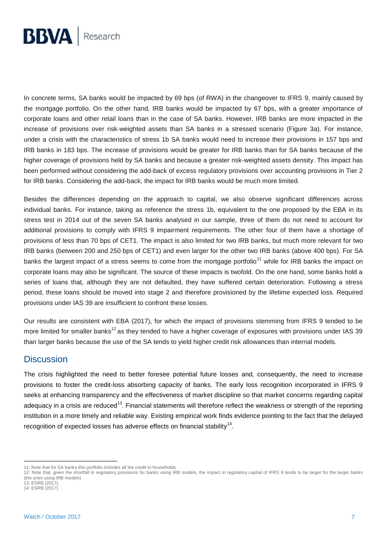

In concrete terms, SA banks would be impacted by 69 bps (of RWA) in the changeover to IFRS 9, mainly caused by the mortgage portfolio. On the other hand, IRB banks would be impacted by 67 bps, with a greater importance of corporate loans and other retail loans than in the case of SA banks. However, IRB banks are more impacted in the increase of provisions over risk-weighted assets than SA banks in a stressed scenario (Figure 3a). For instance, under a crisis with the characteristics of stress 1b SA banks would need to increase their provisions in 157 bps and IRB banks in 183 bps. The increase of provisions would be greater for IRB banks than for SA banks because of the higher coverage of provisions held by SA banks and because a greater risk-weighted assets density. This impact has been performed without considering the add-back of excess regulatory provisions over accounting provisions in Tier 2 for IRB banks. Considering the add-back, the impact for IRB banks would be much more limited.

Besides the differences depending on the approach to capital, we also observe significant differences across individual banks. For instance, taking as reference the stress 1b, equivalent to the one proposed by the EBA in its stress test in 2014 out of the seven SA banks analysed in our sample, three of them do not need to account for additional provisions to comply with IFRS 9 impairment requirements. The other four of them have a shortage of provisions of less than 70 bps of CET1. The impact is also limited for two IRB banks, but much more relevant for two IRB banks (between 200 and 250 bps of CET1) and even larger for the other two IRB banks (above 400 bps). For SA banks the largest impact of a stress seems to come from the mortgage portfolio<sup>11</sup> while for IRB banks the impact on corporate loans may also be significant. The source of these impacts is twofold. On the one hand, some banks hold a series of loans that, although they are not defaulted, they have suffered certain deterioration. Following a stress period, these loans should be moved into stage 2 and therefore provisioned by the lifetime expected loss. Required provisions under IAS 39 are insufficient to confront these losses.

Our results are consistent with EBA (2017), for which the impact of provisions stemming from IFRS 9 tended to be more limited for smaller banks<sup>12</sup> as they tended to have a higher coverage of exposures with provisions under IAS 39 than larger banks because the use of the SA tends to yield higher credit risk allowances than internal models.

#### **Discussion**

The crisis highlighted the need to better foresee potential future losses and, consequently, the need to increase provisions to foster the credit-loss absorbing capacity of banks. The early loss recognition incorporated in IFRS 9 seeks at enhancing transparency and the effectiveness of market discipline so that market concerns regarding capital adequacy in a crisis are reduced<sup>13</sup>. Financial statements will therefore reflect the weakness or strength of the reporting institution in a more timely and reliable way. Existing empirical work finds evidence pointing to the fact that the delayed recognition of expected losses has adverse effects on financial stability<sup>14</sup>.

 $\overline{a}$ 11: Note that for SA banks this portfolio includes all the credit to households.

<sup>12:</sup> Note that, given the shortfall in regulatory provisions for banks using IRB models, the impact in regulatory capital of IFRS 9 tends to be larger for the larger banks (the ones using IRB models).  $13:$  ESRB (2017).

<sup>14:</sup> ESRB (2017).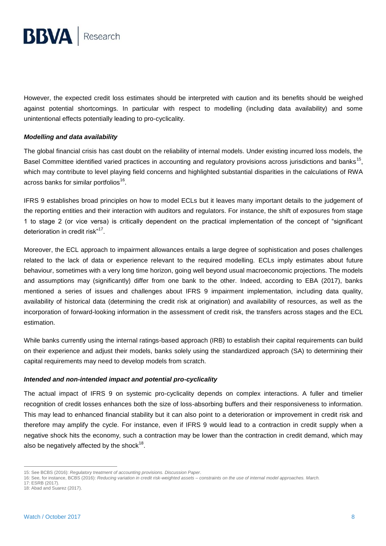

However, the expected credit loss estimates should be interpreted with caution and its benefits should be weighed against potential shortcomings. In particular with respect to modelling (including data availability) and some unintentional effects potentially leading to pro-cyclicality.

#### *Modelling and data availability*

The global financial crisis has cast doubt on the reliability of internal models. Under existing incurred loss models, the Basel Committee identified varied practices in accounting and regulatory provisions across jurisdictions and banks<sup>15</sup>, which may contribute to level playing field concerns and highlighted substantial disparities in the calculations of RWA across banks for similar portfolios $^{16}$ .

IFRS 9 establishes broad principles on how to model ECLs but it leaves many important details to the judgement of the reporting entities and their interaction with auditors and regulators. For instance, the shift of exposures from stage 1 to stage 2 (or vice versa) is critically dependent on the practical implementation of the concept of "significant deterioration in credit risk"<sup>17</sup>.

Moreover, the ECL approach to impairment allowances entails a large degree of sophistication and poses challenges related to the lack of data or experience relevant to the required modelling. ECLs imply estimates about future behaviour, sometimes with a very long time horizon, going well beyond usual macroeconomic projections. The models and assumptions may (significantly) differ from one bank to the other. Indeed, according to EBA (2017), banks mentioned a series of issues and challenges about IFRS 9 impairment implementation, including data quality, availability of historical data (determining the credit risk at origination) and availability of resources, as well as the incorporation of forward-looking information in the assessment of credit risk, the transfers across stages and the ECL estimation.

While banks currently using the internal ratings-based approach (IRB) to establish their capital requirements can build on their experience and adjust their models, banks solely using the standardized approach (SA) to determining their capital requirements may need to develop models from scratch.

#### *Intended and non-intended impact and potential pro-cyclicality*

The actual impact of IFRS 9 on systemic pro-cyclicality depends on complex interactions. A fuller and timelier recognition of credit losses enhances both the size of loss-absorbing buffers and their responsiveness to information. This may lead to enhanced financial stability but it can also point to a deterioration or improvement in credit risk and therefore may amplify the cycle. For instance, even if IFRS 9 would lead to a contraction in credit supply when a negative shock hits the economy, such a contraction may be lower than the contraction in credit demand, which may also be negatively affected by the shock $^{18}$ .

 $\overline{a}$ 15: See BCBS (2016): *Regulatory treatment of accounting provisions. Discussion Paper*.

<sup>16:</sup> See, for instance, BCBS (2016): *Reducing variation in credit risk-weighted assets – constraints on the use of internal model approaches. March.*

<sup>17:</sup> ESRB (2017).

<sup>18:</sup> Abad and Suarez (2017).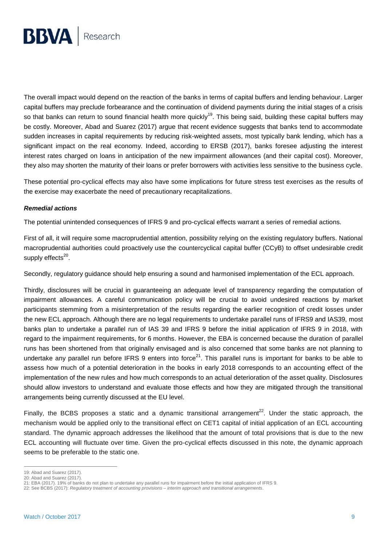

The overall impact would depend on the reaction of the banks in terms of capital buffers and lending behaviour. Larger capital buffers may preclude forbearance and the continuation of dividend payments during the initial stages of a crisis so that banks can return to sound financial health more quickly<sup>19</sup>. This being said, building these capital buffers may be costly. Moreover, Abad and Suarez (2017) argue that recent evidence suggests that banks tend to accommodate sudden increases in capital requirements by reducing risk-weighted assets, most typically bank lending, which has a significant impact on the real economy. Indeed, according to ERSB (2017), banks foresee adjusting the interest interest rates charged on loans in anticipation of the new impairment allowances (and their capital cost). Moreover, they also may shorten the maturity of their loans or prefer borrowers with activities less sensitive to the business cycle.

These potential pro-cyclical effects may also have some implications for future stress test exercises as the results of the exercise may exacerbate the need of precautionary recapitalizations.

#### *Remedial actions*

The potential unintended consequences of IFRS 9 and pro-cyclical effects warrant a series of remedial actions.

First of all, it will require some macroprudential attention, possibility relying on the existing regulatory buffers. National macroprudential authorities could proactively use the countercyclical capital buffer (CCyB) to offset undesirable credit supply effects<sup>20</sup>.

Secondly, regulatory guidance should help ensuring a sound and harmonised implementation of the ECL approach.

Thirdly, disclosures will be crucial in guaranteeing an adequate level of transparency regarding the computation of impairment allowances. A careful communication policy will be crucial to avoid undesired reactions by market participants stemming from a misinterpretation of the results regarding the earlier recognition of credit losses under the new ECL approach. Although there are no legal requirements to undertake parallel runs of IFRS9 and IAS39, most banks plan to undertake a parallel run of IAS 39 and IFRS 9 before the initial application of IFRS 9 in 2018, with regard to the impairment requirements, for 6 months. However, the EBA is concerned because the duration of parallel runs has been shortened from that originally envisaged and is also concerned that some banks are not planning to undertake any parallel run before IFRS 9 enters into force $^{21}$ . This parallel runs is important for banks to be able to assess how much of a potential deterioration in the books in early 2018 corresponds to an accounting effect of the implementation of the new rules and how much corresponds to an actual deterioration of the asset quality. Disclosures should allow investors to understand and evaluate those effects and how they are mitigated through the transitional arrangements being currently discussed at the EU level.

Finally, the BCBS proposes a static and a dynamic transitional arrangement<sup>22</sup>. Under the static approach, the mechanism would be applied only to the transitional effect on CET1 capital of initial application of an ECL accounting standard. The dynamic approach addresses the likelihood that the amount of total provisions that is due to the new ECL accounting will fluctuate over time. Given the pro-cyclical effects discussed in this note, the dynamic approach seems to be preferable to the static one.

<sup>19:</sup> Abad and Suarez (2017).

<sup>20:</sup> Abad and Suarez (2017).

<sup>21:</sup> EBA (2017). 19% of banks do not plan to undertake any parallel runs for impairment before the initial application of IFRS 9.

<sup>22:</sup> See BCBS (2017): *Regulatory treatment of accounting provisions – interim approach and transitional arrangements*.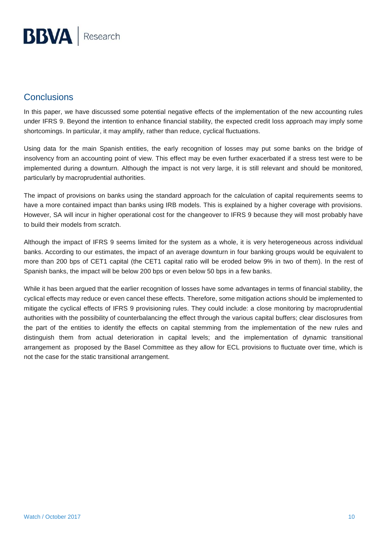# **Conclusions**

In this paper, we have discussed some potential negative effects of the implementation of the new accounting rules under IFRS 9. Beyond the intention to enhance financial stability, the expected credit loss approach may imply some shortcomings. In particular, it may amplify, rather than reduce, cyclical fluctuations.

Using data for the main Spanish entities, the early recognition of losses may put some banks on the bridge of insolvency from an accounting point of view. This effect may be even further exacerbated if a stress test were to be implemented during a downturn. Although the impact is not very large, it is still relevant and should be monitored, particularly by macroprudential authorities.

The impact of provisions on banks using the standard approach for the calculation of capital requirements seems to have a more contained impact than banks using IRB models. This is explained by a higher coverage with provisions. However, SA will incur in higher operational cost for the changeover to IFRS 9 because they will most probably have to build their models from scratch.

Although the impact of IFRS 9 seems limited for the system as a whole, it is very heterogeneous across individual banks. According to our estimates, the impact of an average downturn in four banking groups would be equivalent to more than 200 bps of CET1 capital (the CET1 capital ratio will be eroded below 9% in two of them). In the rest of Spanish banks, the impact will be below 200 bps or even below 50 bps in a few banks.

While it has been argued that the earlier recognition of losses have some advantages in terms of financial stability, the cyclical effects may reduce or even cancel these effects. Therefore, some mitigation actions should be implemented to mitigate the cyclical effects of IFRS 9 provisioning rules. They could include: a close monitoring by macroprudential authorities with the possibility of counterbalancing the effect through the various capital buffers; clear disclosures from the part of the entities to identify the effects on capital stemming from the implementation of the new rules and distinguish them from actual deterioration in capital levels; and the implementation of dynamic transitional arrangement as proposed by the Basel Committee as they allow for ECL provisions to fluctuate over time, which is not the case for the static transitional arrangement.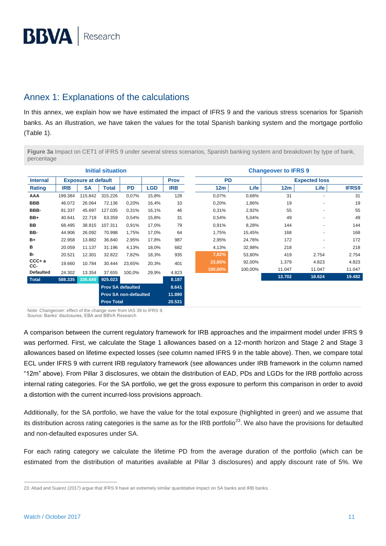# Annex 1: Explanations of the calculations

In this annex, we explain how we have estimated the impact of IFRS 9 and the various stress scenarios for Spanish banks. As an illustration, we have taken the values for the total Spanish banking system and the mortgage portfolio (Table 1).

**Figure 3a** Impact on CET1 of IFRS 9 under several stress scenarios, Spanish banking system and breakdown by type of bank, percentage

| <b>Initial situation</b> |                              |           |                          |           |            |                          | <b>Changeover to IFRS 9</b> |                      |                 |        |              |
|--------------------------|------------------------------|-----------|--------------------------|-----------|------------|--------------------------|-----------------------------|----------------------|-----------------|--------|--------------|
| <b>Internal</b>          | <b>Exposure at default</b>   |           |                          |           |            | <b>PD</b><br><b>Prov</b> |                             | <b>Expected loss</b> |                 |        |              |
| <b>Rating</b>            | <b>IRB</b>                   | <b>SA</b> | <b>Total</b>             | <b>PD</b> | <b>LGD</b> | <b>IRB</b>               | 12m                         | Life                 | 12 <sub>m</sub> | Life   | <b>IFRS9</b> |
| AAA                      | 199.384                      | 115.842   | 315.226                  | 0,07%     | 15,8%      | 128                      | 0,07%                       | 0,68%                | 31              | ٠      | 31           |
| <b>BBB</b>               | 46.072                       | 26.064    | 72.136                   | 0,20%     | 16,4%      | 10                       | 0,20%                       | 1,86%                | 19              | ٠      | 19           |
| BBB-                     | 81.337                       | 45.697    | 127.035                  | 0,31%     | 16,1%      | 46                       | 0,31%                       | 2,92%                | 55              | ٠      | 55           |
| BB+                      | 40.641                       | 22.719    | 63.359                   | 0,54%     | 15,8%      | 31                       | 0,54%                       | 5,04%                | 49              |        | 49           |
| BB                       | 68.495                       | 38.815    | 107.311                  | 0,91%     | 17,0%      | 79                       | 0,91%                       | 8,28%                | 144             |        | 144          |
| BB-                      | 44.906                       | 26.092    | 70.998                   | 1,75%     | 17,0%      | 64                       | 1,75%                       | 15,45%               | 168             |        | 168          |
| B+                       | 22.958                       | 13.882    | 36.840                   | 2,95%     | 17,8%      | 987                      | 2,95%                       | 24,76%               | 172             | ٠      | 172          |
| в                        | 20.059                       | 11.137    | 31.196                   | 4,13%     | 18,0%      | 682                      | 4,13%                       | 32,98%               | 218             |        | 218          |
| <b>B-</b>                | 20.521                       | 12.301    | 32.822                   | 7,82%     | 18,3%      | 935                      | 7,82%                       | 53,80%               | 419             | 2.754  | 2.754        |
| $CCC + a$<br>CC-         | 19.660                       | 10.784    | 30.444                   | 23,65%    | 20,3%      | 401                      | 23,65%                      | 92,00%               | 1.379           | 4.823  | 4.823        |
| <b>Defaulted</b>         | 24.302                       | 13.354    | 37.655                   | 100,0%    | 29,9%      | 4.823                    | 100,00%                     | 100,00%              | 11.047          | 11.047 | 11.047       |
| <b>Total</b>             | 588.335                      | 336.689   | 925.023                  |           |            | 8.187                    |                             |                      | 13.702          | 18.624 | 19.482       |
|                          |                              |           | <b>Prov SA defaulted</b> |           |            | 8.641                    |                             |                      |                 |        |              |
|                          | <b>Prov SA non-defaulted</b> |           |                          |           | 11.890     |                          |                             |                      |                 |        |              |
|                          | <b>Prov Total</b>            |           |                          |           |            | 20.531                   |                             |                      |                 |        |              |

Note: Changeover: effect of the change over from IAS 39 to IFRS 9. Source: Banks' disclosures, EBA and BBVA Research

A comparison between the current regulatory framework for IRB approaches and the impairment model under IFRS 9 was performed. First, we calculate the Stage 1 allowances based on a 12-month horizon and Stage 2 and Stage 3 allowances based on lifetime expected losses (see column named IFRS 9 in the table above). Then, we compare total ECL under IFRS 9 with current IRB regulatory framework (see allowances under IRB framework in the column named "12m" above). From Pillar 3 disclosures, we obtain the distribution of EAD, PDs and LGDs for the IRB portfolio across internal rating categories. For the SA portfolio, we get the gross exposure to perform this comparison in order to avoid a distortion with the current incurred-loss provisions approach.

Additionally, for the SA portfolio, we have the value for the total exposure (highlighted in green) and we assume that its distribution across rating categories is the same as for the IRB portfolio<sup>23</sup>. We also have the provisions for defaulted and non-defaulted exposures under SA.

For each rating category we calculate the lifetime PD from the average duration of the portfolio (which can be estimated from the distribution of maturities available at Pillar 3 disclosures) and apply discount rate of 5%. We

<sup>23:</sup> Abad and Suarez (2017) argue that IFRS 9 have an extremely similar quantitative impact on SA banks and IRB banks.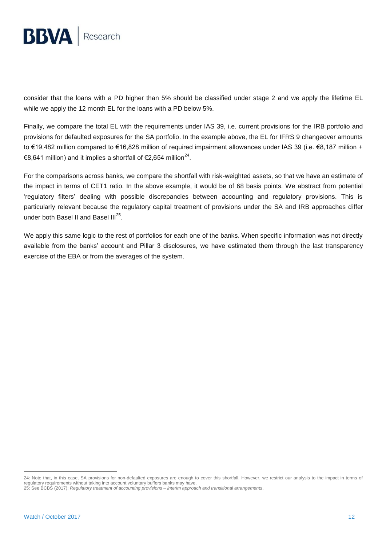

consider that the loans with a PD higher than 5% should be classified under stage 2 and we apply the lifetime EL while we apply the 12 month EL for the loans with a PD below 5%.

Finally, we compare the total EL with the requirements under IAS 39, i.e. current provisions for the IRB portfolio and provisions for defaulted exposures for the SA portfolio. In the example above, the EL for IFRS 9 changeover amounts to €19,482 million compared to €16,828 million of required impairment allowances under IAS 39 (i.e. €8,187 million + €8,641 million) and it implies a shortfall of €2,654 million<sup>24</sup>.

For the comparisons across banks, we compare the shortfall with risk-weighted assets, so that we have an estimate of the impact in terms of CET1 ratio. In the above example, it would be of 68 basis points. We abstract from potential 'regulatory filters' dealing with possible discrepancies between accounting and regulatory provisions. This is particularly relevant because the regulatory capital treatment of provisions under the SA and IRB approaches differ under both Basel II and Basel III<sup>25</sup>.

We apply this same logic to the rest of portfolios for each one of the banks. When specific information was not directly available from the banks' account and Pillar 3 disclosures, we have estimated them through the last transparency exercise of the EBA or from the averages of the system.

<sup>24:</sup> Note that, in this case, SA provisions for non-defaulted exposures are enough to cover this shortfall. However, we restrict our analysis to the impact in terms of regulatory requirements without taking into account voluntary buffers banks may have.

<sup>25:</sup> See BCBS (2017): *Regulatory treatment of accounting provisions – interim approach and transitional arrangements*.